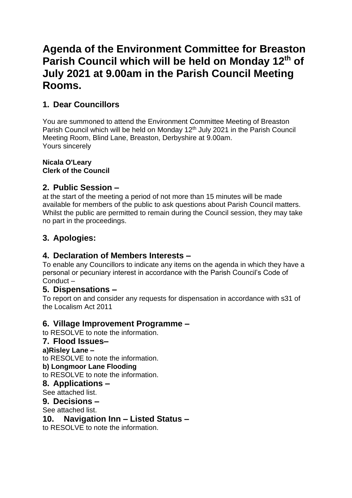# **Agenda of the Environment Committee for Breaston**  Parish Council which will be held on Monday 12<sup>th</sup> of **July 2021 at 9.00am in the Parish Council Meeting Rooms.**

# **1. Dear Councillors**

You are summoned to attend the Environment Committee Meeting of Breaston Parish Council which will be held on Monday 12<sup>th</sup> July 2021 in the Parish Council Meeting Room, Blind Lane, Breaston, Derbyshire at 9.00am. Yours sincerely

**Nicala O'Leary Clerk of the Council** 

# **2. Public Session –**

at the start of the meeting a period of not more than 15 minutes will be made available for members of the public to ask questions about Parish Council matters. Whilst the public are permitted to remain during the Council session, they may take no part in the proceedings.

# **3. Apologies:**

# **4. Declaration of Members Interests –**

To enable any Councillors to indicate any items on the agenda in which they have a personal or pecuniary interest in accordance with the Parish Council's Code of Conduct –

# **5. Dispensations –**

To report on and consider any requests for dispensation in accordance with s31 of the Localism Act 2011

# **6. Village Improvement Programme –**

to RESOLVE to note the information.

# **7. Flood Issues–**

#### **a)Risley Lane –**

to RESOLVE to note the information.

#### **b) Longmoor Lane Flooding**

to RESOLVE to note the information.

#### **8. Applications –**

See attached list.

#### **9. Decisions –**

See attached list.

# **10. Navigation Inn – Listed Status –**

to RESOLVE to note the information.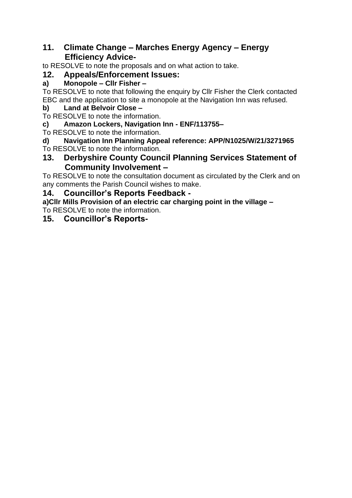# **11. Climate Change – Marches Energy Agency – Energy Efficiency Advice-**

to RESOLVE to note the proposals and on what action to take.

# **12. Appeals/Enforcement Issues:**

# **a) Monopole – Cllr Fisher –**

To RESOLVE to note that following the enquiry by Cllr Fisher the Clerk contacted EBC and the application to site a monopole at the Navigation Inn was refused.

#### **b) Land at Belvoir Close –**

To RESOLVE to note the information.

#### **c) Amazon Lockers, Navigation Inn - ENF/113755–**

To RESOLVE to note the information.

**d) Navigation Inn Planning Appeal reference: APP/N1025/W/21/3271965** To RESOLVE to note the information.

### **13. Derbyshire County Council Planning Services Statement of Community Involvement –**

To RESOLVE to note the consultation document as circulated by the Clerk and on any comments the Parish Council wishes to make.

#### **14. Councillor's Reports Feedback -**

**a)Cllr Mills Provision of an electric car charging point in the village –** To RESOLVE to note the information.

#### **15. Councillor's Reports-**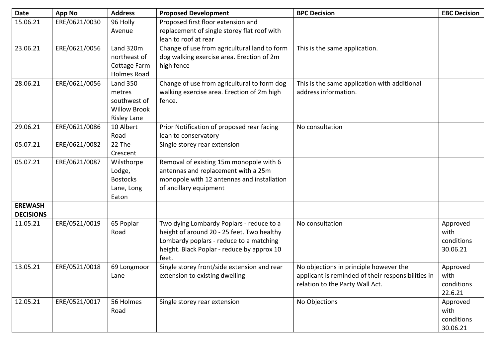| <b>Date</b>      | <b>App No</b> | <b>Address</b>      | <b>Proposed Development</b>                  | <b>BPC Decision</b>                                                                   | <b>EBC Decision</b> |
|------------------|---------------|---------------------|----------------------------------------------|---------------------------------------------------------------------------------------|---------------------|
| 15.06.21         | ERE/0621/0030 | 96 Holly            | Proposed first floor extension and           |                                                                                       |                     |
|                  |               | Avenue              | replacement of single storey flat roof with  |                                                                                       |                     |
|                  |               |                     | lean to roof at rear                         |                                                                                       |                     |
| 23.06.21         | ERE/0621/0056 | Land 320m           | Change of use from agricultural land to form | This is the same application.                                                         |                     |
|                  |               | northeast of        | dog walking exercise area. Erection of 2m    |                                                                                       |                     |
|                  |               | Cottage Farm        | high fence                                   |                                                                                       |                     |
|                  |               | <b>Holmes Road</b>  |                                              |                                                                                       |                     |
| 28.06.21         | ERE/0621/0056 | <b>Land 350</b>     | Change of use from agricultural to form dog  | This is the same application with additional                                          |                     |
|                  |               | metres              | walking exercise area. Erection of 2m high   | address information.                                                                  |                     |
|                  |               | southwest of        | fence.                                       |                                                                                       |                     |
|                  |               | <b>Willow Brook</b> |                                              |                                                                                       |                     |
|                  |               | <b>Risley Lane</b>  |                                              |                                                                                       |                     |
| 29.06.21         | ERE/0621/0086 | 10 Albert           | Prior Notification of proposed rear facing   | No consultation                                                                       |                     |
|                  |               | Road                | lean to conservatory                         |                                                                                       |                     |
| 05.07.21         | ERE/0621/0082 | 22 The              | Single storey rear extension                 |                                                                                       |                     |
|                  |               | Crescent            |                                              |                                                                                       |                     |
| 05.07.21         | ERE/0621/0087 | Wilsthorpe          | Removal of existing 15m monopole with 6      |                                                                                       |                     |
|                  |               | Lodge,              | antennas and replacement with a 25m          |                                                                                       |                     |
|                  |               | <b>Bostocks</b>     | monopole with 12 antennas and installation   |                                                                                       |                     |
|                  |               | Lane, Long          | of ancillary equipment                       |                                                                                       |                     |
|                  |               | Eaton               |                                              |                                                                                       |                     |
| <b>EREWASH</b>   |               |                     |                                              |                                                                                       |                     |
| <b>DECISIONS</b> |               |                     |                                              |                                                                                       |                     |
| 11.05.21         | ERE/0521/0019 | 65 Poplar           | Two dying Lombardy Poplars - reduce to a     | No consultation                                                                       | Approved            |
|                  |               | Road                | height of around 20 - 25 feet. Two healthy   |                                                                                       | with                |
|                  |               |                     | Lombardy poplars - reduce to a matching      |                                                                                       | conditions          |
|                  |               |                     | height. Black Poplar - reduce by approx 10   |                                                                                       | 30.06.21            |
| 13.05.21         |               |                     | feet.                                        |                                                                                       |                     |
|                  | ERE/0521/0018 | 69 Longmoor         | Single storey front/side extension and rear  | No objections in principle however the                                                | Approved            |
|                  |               | Lane                | extension to existing dwelling               | applicant is reminded of their responsibilities in<br>relation to the Party Wall Act. | with<br>conditions  |
|                  |               |                     |                                              |                                                                                       | 22.6.21             |
| 12.05.21         | ERE/0521/0017 | 56 Holmes           |                                              | No Objections                                                                         |                     |
|                  |               | Road                | Single storey rear extension                 |                                                                                       | Approved<br>with    |
|                  |               |                     |                                              |                                                                                       | conditions          |
|                  |               |                     |                                              |                                                                                       | 30.06.21            |
|                  |               |                     |                                              |                                                                                       |                     |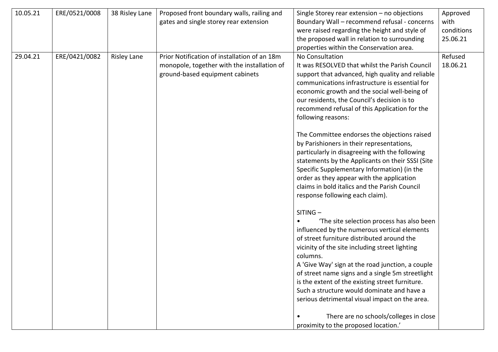| 10.05.21 | ERE/0521/0008 | 38 Risley Lane     | Proposed front boundary walls, railing and   | Single Storey rear extension $-$ no objections   | Approved   |
|----------|---------------|--------------------|----------------------------------------------|--------------------------------------------------|------------|
|          |               |                    | gates and single storey rear extension       | Boundary Wall - recommend refusal - concerns     | with       |
|          |               |                    |                                              | were raised regarding the height and style of    | conditions |
|          |               |                    |                                              | the proposed wall in relation to surrounding     | 25.06.21   |
|          |               |                    |                                              | properties within the Conservation area.         |            |
| 29.04.21 | ERE/0421/0082 | <b>Risley Lane</b> | Prior Notification of installation of an 18m | No Consultation                                  | Refused    |
|          |               |                    | monopole, together with the installation of  | It was RESOLVED that whilst the Parish Council   | 18.06.21   |
|          |               |                    | ground-based equipment cabinets              | support that advanced, high quality and reliable |            |
|          |               |                    |                                              | communications infrastructure is essential for   |            |
|          |               |                    |                                              | economic growth and the social well-being of     |            |
|          |               |                    |                                              | our residents, the Council's decision is to      |            |
|          |               |                    |                                              | recommend refusal of this Application for the    |            |
|          |               |                    |                                              | following reasons:                               |            |
|          |               |                    |                                              |                                                  |            |
|          |               |                    |                                              | The Committee endorses the objections raised     |            |
|          |               |                    |                                              | by Parishioners in their representations,        |            |
|          |               |                    |                                              | particularly in disagreeing with the following   |            |
|          |               |                    |                                              | statements by the Applicants on their SSSI (Site |            |
|          |               |                    |                                              | Specific Supplementary Information) (in the      |            |
|          |               |                    |                                              | order as they appear with the application        |            |
|          |               |                    |                                              | claims in bold italics and the Parish Council    |            |
|          |               |                    |                                              | response following each claim).                  |            |
|          |               |                    |                                              |                                                  |            |
|          |               |                    |                                              | SITING-                                          |            |
|          |               |                    |                                              | 'The site selection process has also been        |            |
|          |               |                    |                                              | influenced by the numerous vertical elements     |            |
|          |               |                    |                                              | of street furniture distributed around the       |            |
|          |               |                    |                                              | vicinity of the site including street lighting   |            |
|          |               |                    |                                              | columns.                                         |            |
|          |               |                    |                                              | A 'Give Way' sign at the road junction, a couple |            |
|          |               |                    |                                              | of street name signs and a single 5m streetlight |            |
|          |               |                    |                                              | is the extent of the existing street furniture.  |            |
|          |               |                    |                                              | Such a structure would dominate and have a       |            |
|          |               |                    |                                              | serious detrimental visual impact on the area.   |            |
|          |               |                    |                                              |                                                  |            |
|          |               |                    |                                              | There are no schools/colleges in close           |            |
|          |               |                    |                                              | proximity to the proposed location.'             |            |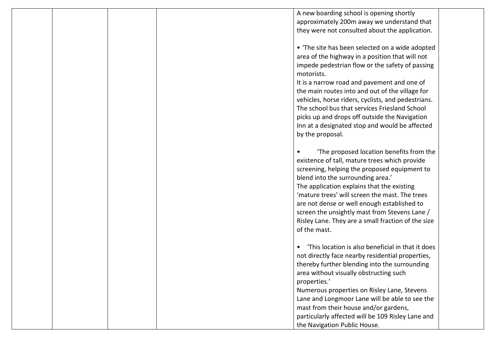|  | A new boarding school is opening shortly                    |  |
|--|-------------------------------------------------------------|--|
|  | approximately 200m away we understand that                  |  |
|  | they were not consulted about the application.              |  |
|  |                                                             |  |
|  | • 'The site has been selected on a wide adopted             |  |
|  | area of the highway in a position that will not             |  |
|  | impede pedestrian flow or the safety of passing             |  |
|  | motorists.                                                  |  |
|  | It is a narrow road and pavement and one of                 |  |
|  | the main routes into and out of the village for             |  |
|  | vehicles, horse riders, cyclists, and pedestrians.          |  |
|  | The school bus that services Friesland School               |  |
|  | picks up and drops off outside the Navigation               |  |
|  | Inn at a designated stop and would be affected              |  |
|  | by the proposal.                                            |  |
|  |                                                             |  |
|  | The proposed location benefits from the                     |  |
|  | existence of tall, mature trees which provide               |  |
|  | screening, helping the proposed equipment to                |  |
|  | blend into the surrounding area.'                           |  |
|  | The application explains that the existing                  |  |
|  | 'mature trees' will screen the mast. The trees              |  |
|  | are not dense or well enough established to                 |  |
|  | screen the unsightly mast from Stevens Lane /               |  |
|  | Risley Lane. They are a small fraction of the size          |  |
|  | of the mast.                                                |  |
|  |                                                             |  |
|  | 'This location is also beneficial in that it does           |  |
|  | not directly face nearby residential properties,            |  |
|  | thereby further blending into the surrounding               |  |
|  | area without visually obstructing such                      |  |
|  |                                                             |  |
|  | properties.'<br>Numerous properties on Risley Lane, Stevens |  |
|  |                                                             |  |
|  | Lane and Longmoor Lane will be able to see the              |  |
|  | mast from their house and/or gardens,                       |  |
|  | particularly affected will be 109 Risley Lane and           |  |
|  | the Navigation Public House.                                |  |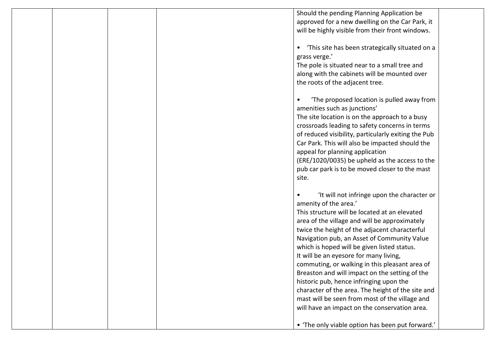|  |  | Should the pending Planning Application be                   |  |
|--|--|--------------------------------------------------------------|--|
|  |  | approved for a new dwelling on the Car Park, it              |  |
|  |  | will be highly visible from their front windows.             |  |
|  |  |                                                              |  |
|  |  | 'This site has been strategically situated on a<br>$\bullet$ |  |
|  |  | grass verge.'                                                |  |
|  |  | The pole is situated near to a small tree and                |  |
|  |  |                                                              |  |
|  |  | along with the cabinets will be mounted over                 |  |
|  |  | the roots of the adjacent tree.                              |  |
|  |  |                                                              |  |
|  |  | 'The proposed location is pulled away from                   |  |
|  |  | amenities such as junctions'                                 |  |
|  |  | The site location is on the approach to a busy               |  |
|  |  | crossroads leading to safety concerns in terms               |  |
|  |  | of reduced visibility, particularly exiting the Pub          |  |
|  |  | Car Park. This will also be impacted should the              |  |
|  |  | appeal for planning application                              |  |
|  |  | (ERE/1020/0035) be upheld as the access to the               |  |
|  |  | pub car park is to be moved closer to the mast               |  |
|  |  | site.                                                        |  |
|  |  |                                                              |  |
|  |  | 'It will not infringe upon the character or                  |  |
|  |  | amenity of the area.'                                        |  |
|  |  | This structure will be located at an elevated                |  |
|  |  |                                                              |  |
|  |  | area of the village and will be approximately                |  |
|  |  | twice the height of the adjacent characterful                |  |
|  |  | Navigation pub, an Asset of Community Value                  |  |
|  |  | which is hoped will be given listed status.                  |  |
|  |  | It will be an eyesore for many living,                       |  |
|  |  | commuting, or walking in this pleasant area of               |  |
|  |  | Breaston and will impact on the setting of the               |  |
|  |  | historic pub, hence infringing upon the                      |  |
|  |  | character of the area. The height of the site and            |  |
|  |  | mast will be seen from most of the village and               |  |
|  |  | will have an impact on the conservation area.                |  |
|  |  |                                                              |  |
|  |  | • 'The only viable option has been put forward.'             |  |
|  |  |                                                              |  |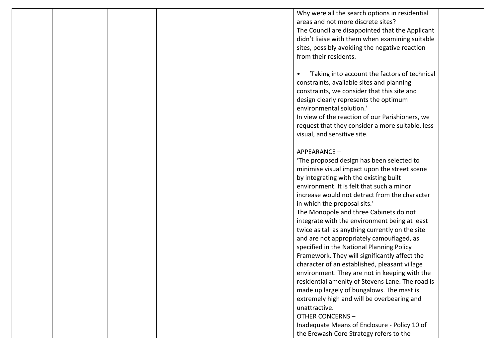|  | Why were all the search options in residential             |  |
|--|------------------------------------------------------------|--|
|  | areas and not more discrete sites?                         |  |
|  | The Council are disappointed that the Applicant            |  |
|  | didn't liaise with them when examining suitable            |  |
|  | sites, possibly avoiding the negative reaction             |  |
|  | from their residents.                                      |  |
|  |                                                            |  |
|  | 'Taking into account the factors of technical<br>$\bullet$ |  |
|  | constraints, available sites and planning                  |  |
|  | constraints, we consider that this site and                |  |
|  | design clearly represents the optimum                      |  |
|  | environmental solution.'                                   |  |
|  | In view of the reaction of our Parishioners, we            |  |
|  | request that they consider a more suitable, less           |  |
|  | visual, and sensitive site.                                |  |
|  |                                                            |  |
|  | APPEARANCE-                                                |  |
|  | The proposed design has been selected to                   |  |
|  | minimise visual impact upon the street scene               |  |
|  | by integrating with the existing built                     |  |
|  | environment. It is felt that such a minor                  |  |
|  | increase would not detract from the character              |  |
|  | in which the proposal sits.'                               |  |
|  | The Monopole and three Cabinets do not                     |  |
|  | integrate with the environment being at least              |  |
|  | twice as tall as anything currently on the site            |  |
|  | and are not appropriately camouflaged, as                  |  |
|  | specified in the National Planning Policy                  |  |
|  | Framework. They will significantly affect the              |  |
|  | character of an established, pleasant village              |  |
|  | environment. They are not in keeping with the              |  |
|  | residential amenity of Stevens Lane. The road is           |  |
|  | made up largely of bungalows. The mast is                  |  |
|  | extremely high and will be overbearing and                 |  |
|  | unattractive.                                              |  |
|  |                                                            |  |
|  | <b>OTHER CONCERNS-</b>                                     |  |
|  | Inadequate Means of Enclosure - Policy 10 of               |  |
|  | the Erewash Core Strategy refers to the                    |  |